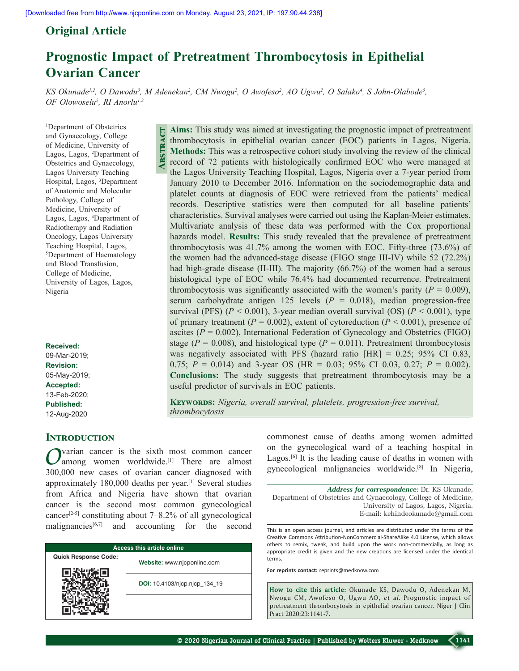# **Original Article**

# **Prognostic Impact of Pretreatment Thrombocytosis in Epithelial Ovarian Cancer**

*KS Okunade<sup>1,2</sup>, O Dawodu<sup>3</sup>, M Adenekan<sup>2</sup>, CM Nwogu<sup>2</sup>, O Awofeso<sup>2</sup>, AO Ugwu<sup>2</sup>, O Salako<sup>4</sup>, S John-Olabode<sup>5</sup>, OF Olowoselu5 , RI Anorlu1,2*

1 Department of Obstetrics and Gynaecology, College of Medicine, University of Lagos, Lagos, 2 Department of Obstetrics and Gynaecology, Lagos University Teaching Hospital, Lagos, 3 Department of Anatomic and Molecular Pathology, College of Medicine, University of Lagos, Lagos, 4 Department of Radiotherapy and Radiation Oncology, Lagos University Teaching Hospital, Lagos, 5 Department of Haematology and Blood Transfusion, College of Medicine, University of Lagos, Lagos, Nigeria

#### **Received:**

09-Mar-2019; **Revision:** 05-May-2019; **Accepted:** 13-Feb-2020; **Published:** 12-Aug-2020

## **Aims:** This study was aimed at investigating the prognostic impact of pretreatment thrombocytosis in epithelial ovarian cancer (EOC) patients in Lagos, Nigeria. **Methods:** This was a retrospective cohort study involving the review of the clinical record of 72 patients with histologically confirmed EOC who were managed at the Lagos University Teaching Hospital, Lagos, Nigeria over a 7‑year period from January 2010 to December 2016. Information on the sociodemographic data and platelet counts at diagnosis of EOC were retrieved from the patients' medical records. Descriptive statistics were then computed for all baseline patients' characteristics. Survival analyses were carried out using the Kaplan‑Meier estimates. Multivariate analysis of these data was performed with the Cox proportional hazards model. **Results:** This study revealed that the prevalence of pretreatment thrombocytosis was  $41.7\%$  among the women with EOC. Fifty-three (73.6%) of the women had the advanced–stage disease (FIGO stage III–IV) while 52 (72.2%) had high-grade disease (II–III). The majority  $(66.7%)$  of the women had a serous histological type of EOC while 76.4% had documented recurrence. Pretreatment thrombocytosis was significantly associated with the women's parity  $(P = 0.009)$ , serum carbohydrate antigen 125 levels  $(P = 0.018)$ , median progression-free survival (PFS) ( $P < 0.001$ ), 3-year median overall survival (OS) ( $P < 0.001$ ), type of primary treatment ( $P = 0.002$ ), extent of cytoreduction ( $P \le 0.001$ ), presence of ascites  $(P = 0.002)$ , International Federation of Gynecology and Obstetrics (FIGO) stage ( $P = 0.008$ ), and histological type ( $P = 0.011$ ). Pretreatment thrombocytosis was negatively associated with PFS (hazard ratio [HR] = 0.25; 95% CI 0.83, 0.75; *P* = 0.014) and 3‑year OS (HR = 0.03; 95% CI 0.03, 0.27; *P* = 0.002). **Conclusions:** The study suggests that pretreatment thrombocytosis may be a useful predictor of survivals in EOC patients. **Abstract**

**Keywords:** *Nigeria, overall survival, platelets, progression‑free survival, thrombocytosis*

# **Introduction**

*O*varian cancer is the sixth most common cancer<br>
among women worldwide.<sup>[1]</sup> There are almost 300,000 new cases of ovarian cancer diagnosed with approximately 180,000 deaths per year.[1] Several studies from Africa and Nigeria have shown that ovarian cancer is the second most common gynecological cancer<sup>[2-5]</sup> constituting about  $7-8.2\%$  of all gynecological malignancies $[6,7]$  and accounting for the second

| <b>Access this article online</b> |                               |  |  |
|-----------------------------------|-------------------------------|--|--|
| <b>Quick Response Code:</b>       | Website: www.njcponline.com   |  |  |
|                                   | DOI: 10.4103/njcp.njcp 134 19 |  |  |
|                                   |                               |  |  |

commonest cause of deaths among women admitted on the gynecological ward of a teaching hospital in Lagos.<sup>[6]</sup> It is the leading cause of deaths in women with gynecological malignancies worldwide.[8] In Nigeria,

*Address for correspondence:* Dr. KS Okunade, Department of Obstetrics and Gynaecology, College of Medicine, University of Lagos, Lagos, Nigeria. E‑mail: kehindeokunade@gmail.com

This is an open access journal, and articles are distributed under the terms of the Creative Commons Attribution‑NonCommercial‑ShareAlike 4.0 License, which allows others to remix, tweak, and build upon the work non‑commercially, as long as appropriate credit is given and the new creations are licensed under the identical terms.

**For reprints contact:** reprints@medknow.com

**How to cite this article:** Okunade KS, Dawodu O, Adenekan M, Nwogu CM, Awofeso O, Ugwu AO, *et al*. Prognostic impact of pretreatment thrombocytosis in epithelial ovarian cancer. Niger J Clin Pract 2020;23:1141-7.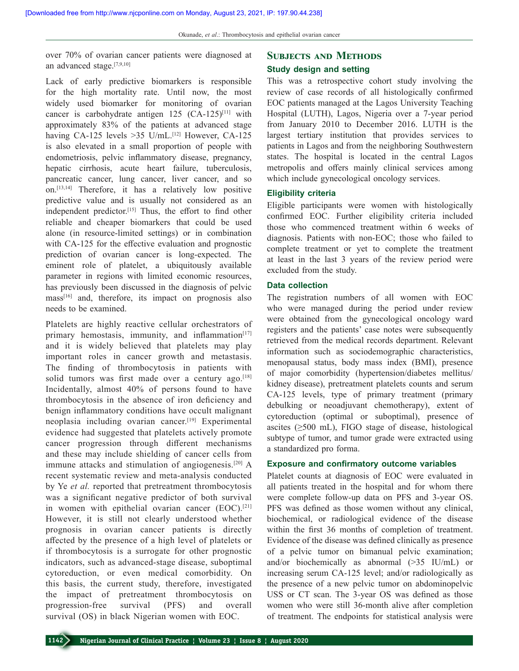over 70% of ovarian cancer patients were diagnosed at an advanced stage.[7,9,10]

Lack of early predictive biomarkers is responsible for the high mortality rate. Until now, the most widely used biomarker for monitoring of ovarian cancer is carbohydrate antigen  $125$  (CA-125)<sup>[11]</sup> with approximately 83% of the patients at advanced stage having CA-125 levels >35 U/mL.<sup>[12]</sup> However, CA-125 is also elevated in a small proportion of people with endometriosis, pelvic inflammatory disease, pregnancy, hepatic cirrhosis, acute heart failure, tuberculosis, pancreatic cancer, lung cancer, liver cancer, and so on.[13,14] Therefore, it has a relatively low positive predictive value and is usually not considered as an independent predictor.[15] Thus, the effort to find other reliable and cheaper biomarkers that could be used alone (in resource-limited settings) or in combination with CA-125 for the effective evaluation and prognostic prediction of ovarian cancer is long‑expected. The eminent role of platelet, a ubiquitously available parameter in regions with limited economic resources, has previously been discussed in the diagnosis of pelvic mass[16] and, therefore, its impact on prognosis also needs to be examined.

Platelets are highly reactive cellular orchestrators of primary hemostasis, immunity, and inflammation $[17]$ and it is widely believed that platelets may play important roles in cancer growth and metastasis. The finding of thrombocytosis in patients with solid tumors was first made over a century ago.<sup>[18]</sup> Incidentally, almost 40% of persons found to have thrombocytosis in the absence of iron deficiency and benign inflammatory conditions have occult malignant neoplasia including ovarian cancer.[19] Experimental evidence had suggested that platelets actively promote cancer progression through different mechanisms and these may include shielding of cancer cells from immune attacks and stimulation of angiogenesis.[20] A recent systematic review and meta‑analysis conducted by Ye *et al.* reported that pretreatment thrombocytosis was a significant negative predictor of both survival in women with epithelial ovarian cancer (EOC).<sup>[21]</sup> However, it is still not clearly understood whether prognosis in ovarian cancer patients is directly affected by the presence of a high level of platelets or if thrombocytosis is a surrogate for other prognostic indicators, such as advanced‑stage disease, suboptimal cytoreduction, or even medical comorbidity. On this basis, the current study, therefore, investigated the impact of pretreatment thrombocytosis on progression‑free survival (PFS) and overall survival (OS) in black Nigerian women with EOC.

# **Subjects and Methods Study design and setting**

This was a retrospective cohort study involving the review of case records of all histologically confirmed EOC patients managed at the Lagos University Teaching Hospital (LUTH), Lagos, Nigeria over a 7‑year period from January 2010 to December 2016. LUTH is the largest tertiary institution that provides services to patients in Lagos and from the neighboring Southwestern states. The hospital is located in the central Lagos metropolis and offers mainly clinical services among which include gynecological oncology services.

## **Eligibility criteria**

Eligible participants were women with histologically confirmed EOC. Further eligibility criteria included those who commenced treatment within 6 weeks of diagnosis. Patients with non‑EOC; those who failed to complete treatment or yet to complete the treatment at least in the last 3 years of the review period were excluded from the study.

#### **Data collection**

The registration numbers of all women with EOC who were managed during the period under review were obtained from the gynecological oncology ward registers and the patients' case notes were subsequently retrieved from the medical records department. Relevant information such as sociodemographic characteristics, menopausal status, body mass index (BMI), presence of major comorbidity (hypertension/diabetes mellitus/ kidney disease), pretreatment platelets counts and serum CA-125 levels, type of primary treatment (primary debulking or neoadjuvant chemotherapy), extent of cytoreduction (optimal or suboptimal), presence of ascites (≥500 mL), FIGO stage of disease, histological subtype of tumor, and tumor grade were extracted using a standardized pro forma.

## **Exposure and confirmatory outcome variables**

Platelet counts at diagnosis of EOC were evaluated in all patients treated in the hospital and for whom there were complete follow-up data on PFS and 3-year OS. PFS was defined as those women without any clinical, biochemical, or radiological evidence of the disease within the first 36 months of completion of treatment. Evidence of the disease was defined clinically as presence of a pelvic tumor on bimanual pelvic examination; and/or biochemically as abnormal (>35 IU/mL) or increasing serum CA-125 level; and/or radiologically as the presence of a new pelvic tumor on abdominopelvic USS or CT scan. The 3‑year OS was defined as those women who were still 36-month alive after completion of treatment. The endpoints for statistical analysis were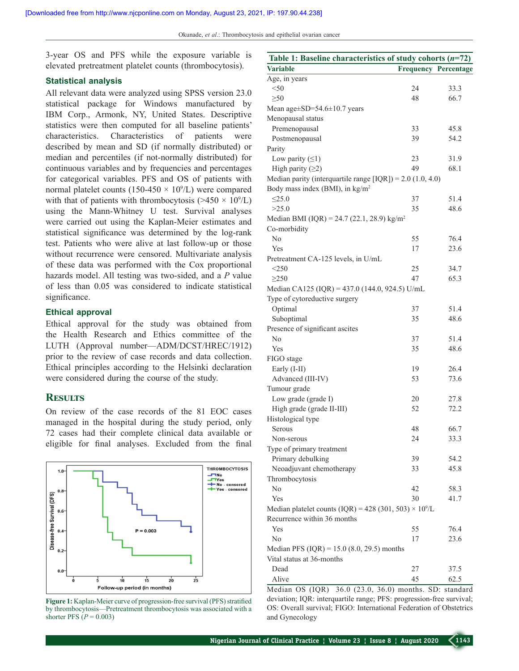Okunade, *et al*.: Thrombocytosis and epithelial ovarian cancer

3‑year OS and PFS while the exposure variable is elevated pretreatment platelet counts (thrombocytosis).

#### **Statistical analysis**

All relevant data were analyzed using SPSS version 23.0 statistical package for Windows manufactured by IBM Corp., Armonk, NY, United States. Descriptive statistics were then computed for all baseline patients' characteristics. Characteristics of patients were described by mean and SD (if normally distributed) or median and percentiles (if not-normally distributed) for continuous variables and by frequencies and percentages for categorical variables. PFS and OS of patients with normal platelet counts ( $150-450 \times 10^{9}/L$ ) were compared with that of patients with thrombocytosis  $(>=450 \times 10^9$ /L) using the Mann‑Whitney U test. Survival analyses were carried out using the Kaplan–Meier estimates and statistical significance was determined by the log-rank test. Patients who were alive at last follow‑up or those without recurrence were censored. Multivariate analysis of these data was performed with the Cox proportional hazards model. All testing was two‑sided, and a *P* value of less than 0.05 was considered to indicate statistical significance.

#### **Ethical approval**

Ethical approval for the study was obtained from the Health Research and Ethics committee of the LUTH (Approval number—ADM/DCST/HREC/1912) prior to the review of case records and data collection. Ethical principles according to the Helsinki declaration were considered during the course of the study.

#### **Results**

On review of the case records of the 81 EOC cases managed in the hospital during the study period, only 72 cases had their complete clinical data available or eligible for final analyses. Excluded from the final



Figure 1: Kaplan-Meier curve of progression-free survival (PFS) stratified by thrombocytosis—Pretreatment thrombocytosis was associated with a shorter PFS (*P* = 0.003)

| Table 1: Baseline characteristics of study cohorts $(n=72)$               |                             |      |
|---------------------------------------------------------------------------|-----------------------------|------|
| <b>Variable</b>                                                           | <b>Frequency Percentage</b> |      |
| Age, in years                                                             |                             |      |
| $<$ 50                                                                    | 24                          | 33.3 |
| $>50$                                                                     | 48                          | 66.7 |
| Mean age $\pm$ SD=54.6 $\pm$ 10.7 years                                   |                             |      |
| Menopausal status                                                         |                             |      |
| Premenopausal                                                             | 33                          | 45.8 |
| Postmenopausal                                                            | 39                          | 54.2 |
| Parity                                                                    |                             |      |
| Low parity $( \leq 1)$                                                    | 23                          | 31.9 |
| High parity $(≥2)$                                                        | 49                          | 68.1 |
| Median parity (interquartile range $[IQR]$ ) = 2.0 (1.0, 4.0)             |                             |      |
| Body mass index (BMI), in kg/m <sup>2</sup>                               |                             |      |
| $\leq$ 25.0                                                               | 37                          | 51.4 |
| >25.0                                                                     | 35                          | 48.6 |
| Median BMI (IQR) = 24.7 (22.1, 28.9) kg/m <sup>2</sup>                    |                             |      |
| Co-morbidity                                                              |                             |      |
| No                                                                        | 55                          | 76.4 |
| Yes                                                                       | 17                          | 23.6 |
| Pretreatment CA-125 levels, in U/mL                                       |                             |      |
| $<$ 250                                                                   | 25                          | 34.7 |
| $\geq$ 250                                                                | 47                          | 65.3 |
| Median CA125 (IQR) = 437.0 (144.0, 924.5) U/mL                            |                             |      |
| Type of cytoreductive surgery                                             |                             |      |
| Optimal                                                                   | 37                          | 51.4 |
| Suboptimal                                                                | 35                          | 48.6 |
| Presence of significant ascites                                           |                             |      |
| No                                                                        | 37                          | 51.4 |
| Yes                                                                       | 35                          | 48.6 |
| FIGO stage                                                                |                             |      |
| Early (I-II)                                                              | 19                          | 26.4 |
| Advanced (III-IV)                                                         | 53                          | 73.6 |
| Tumour grade                                                              |                             |      |
| Low grade (grade I)                                                       | 20                          | 27.8 |
| High grade (grade II-III)                                                 | 52                          | 72.2 |
| Histological type                                                         |                             |      |
| Serous                                                                    | 48                          | 66.7 |
| Non-serous                                                                | 24                          | 33.3 |
| Type of primary treatment                                                 |                             |      |
| Primary debulking                                                         | 39                          | 54.2 |
| Neoadjuvant chemotherapy                                                  | 33                          | 45.8 |
| Thrombocytosis                                                            |                             |      |
| No                                                                        | 42                          | 58.3 |
| Yes                                                                       | 30                          | 41.7 |
| Median platelet counts (IQR) = 428 (301, 503) $\times$ 10 <sup>9</sup> /L |                             |      |
| Recurrence within 36 months                                               |                             |      |
| Yes                                                                       | 55                          | 76.4 |
| No                                                                        | 17                          | 23.6 |
| Median PFS (IQR) = $15.0$ (8.0, 29.5) months                              |                             |      |
| Vital status at 36-months                                                 |                             |      |
| Dead                                                                      | 27                          | 37.5 |
| Alive                                                                     | 45                          | 62.5 |

Median OS (IQR) 36.0 (23.0, 36.0) months. SD: standard deviation; IQR: interquartile range; PFS: progression-free survival; OS: Overall survival; FIGO: International Federation of Obstetrics and Gynecology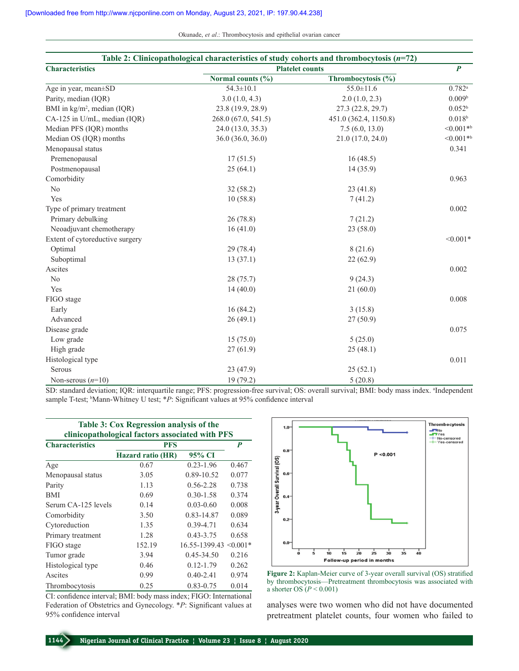Okunade, *et al*.: Thrombocytosis and epithelial ovarian cancer

| Table 2: Clinicopathological characteristics of study cohorts and thrombocytosis $(n=72)$ |                        |                       |                      |  |
|-------------------------------------------------------------------------------------------|------------------------|-----------------------|----------------------|--|
| <b>Characteristics</b>                                                                    | <b>Platelet counts</b> |                       |                      |  |
|                                                                                           | Normal counts (%)      | Thrombocytosis (%)    |                      |  |
| Age in year, mean±SD                                                                      | $54.3 \pm 10.1$        | $55.0 \pm 11.6$       | $0.782$ <sup>a</sup> |  |
| Parity, median (IQR)                                                                      | 3.0(1.0, 4.3)          | 2.0(1.0, 2.3)         | 0.009 <sup>b</sup>   |  |
| BMI in kg/m <sup>2</sup> , median (IQR)                                                   | 23.8 (19.9, 28.9)      | 27.3 (22.8, 29.7)     | 0.052 <sup>b</sup>   |  |
| CA-125 in U/mL, median (IQR)                                                              | 268.0 (67.0, 541.5)    | 451.0 (362.4, 1150.8) | $0.018^{\rm b}$      |  |
| Median PFS (IQR) months                                                                   | 24.0 (13.0, 35.3)      | 7.5(6.0, 13.0)        | $<0.001**$           |  |
| Median OS (IQR) months                                                                    | 36.0 (36.0, 36.0)      | 21.0 (17.0, 24.0)     | $<0.001**$           |  |
| Menopausal status                                                                         |                        |                       | 0.341                |  |
| Premenopausal                                                                             | 17(51.5)               | 16(48.5)              |                      |  |
| Postmenopausal                                                                            | 25(64.1)               | 14(35.9)              |                      |  |
| Comorbidity                                                                               |                        |                       | 0.963                |  |
| No                                                                                        | 32(58.2)               | 23(41.8)              |                      |  |
| Yes                                                                                       | 10(58.8)               | 7(41.2)               |                      |  |
| Type of primary treatment                                                                 |                        |                       | 0.002                |  |
| Primary debulking                                                                         | 26(78.8)               | 7(21.2)               |                      |  |
| Neoadjuvant chemotherapy                                                                  | 16(41.0)               | 23(58.0)              |                      |  |
| Extent of cytoreductive surgery                                                           |                        |                       | $< 0.001*$           |  |
| Optimal                                                                                   | 29(78.4)               | 8(21.6)               |                      |  |
| Suboptimal                                                                                | 13(37.1)               | 22(62.9)              |                      |  |
| Ascites                                                                                   |                        |                       | 0.002                |  |
| N <sub>o</sub>                                                                            | 28 (75.7)              | 9(24.3)               |                      |  |
| Yes                                                                                       | 14(40.0)               | 21(60.0)              |                      |  |
| FIGO stage                                                                                |                        |                       | 0.008                |  |
| Early                                                                                     | 16 (84.2)              | 3(15.8)               |                      |  |
| Advanced                                                                                  | 26(49.1)               | 27(50.9)              |                      |  |
| Disease grade                                                                             |                        |                       | 0.075                |  |
| Low grade                                                                                 | 15(75.0)               | 5(25.0)               |                      |  |
| High grade                                                                                | 27(61.9)               | 25(48.1)              |                      |  |
| Histological type                                                                         |                        |                       | 0.011                |  |
| Serous                                                                                    | 23 (47.9)              | 25(52.1)              |                      |  |
| Non-serous $(n=10)$                                                                       | 19 (79.2)              | 5(20.8)               |                      |  |

SD: standard deviation; IQR: interquartile range; PFS: progression-free survival; OS: overall survival; BMI: body mass index. <sup>a</sup>Independent sample T-test; <sup>b</sup>Mann-Whitney U test; \**P*: Significant values at 95% confidence interval

|                                                 | Table 3: Cox Regression analysis of the |                              |       |  |
|-------------------------------------------------|-----------------------------------------|------------------------------|-------|--|
| clinicopathological factors associated with PFS |                                         |                              |       |  |
| <b>Characteristics</b>                          | <b>PFS</b>                              | P                            |       |  |
|                                                 | Hazard ratio (HR)                       | 95% CI                       |       |  |
| Age                                             | 0.67                                    | $0.23 - 1.96$                | 0.467 |  |
| Menopausal status                               | 3.05                                    | 0.89-10.52                   | 0.077 |  |
| Parity                                          | 1.13                                    | $0.56 - 2.28$                | 0.738 |  |
| <b>BMI</b>                                      | 0.69                                    | $0.30 - 1.58$                | 0.374 |  |
| Serum CA-125 levels                             | 0.14                                    | $0.03 - 0.60$                | 0.008 |  |
| Comorbidity                                     | 3.50                                    | 0.83-14.87                   | 0.089 |  |
| Cytoreduction                                   | 1.35                                    | $0.39 - 4.71$                | 0.634 |  |
| Primary treatment                               | 1.28                                    | $0.43 - 3.75$                | 0.658 |  |
| FIGO stage                                      | 152.19                                  | $16.55 - 1399.43 \le 0.001*$ |       |  |
| Tumor grade                                     | 3.94                                    | $0.45 - 34.50$               | 0.216 |  |
| Histological type                               | 0.46                                    | $0.12 - 1.79$                | 0.262 |  |
| Ascites                                         | 0.99                                    | $0.40 - 2.41$                | 0.974 |  |
| Thrombocytosis                                  | 0.25                                    | $0.83 - 0.75$                | 0.014 |  |

CI: confidence interval; BMI: body mass index; FIGO: International Federation of Obstetrics and Gynecology. \**P*: Significant values at 95% confidence interval



**Figure 2:** Kaplan‑Meier curve of 3‑year overall survival (OS) stratified by thrombocytosis—Pretreatment thrombocytosis was associated with a shorter OS  $(P < 0.001)$ 

analyses were two women who did not have documented pretreatment platelet counts, four women who failed to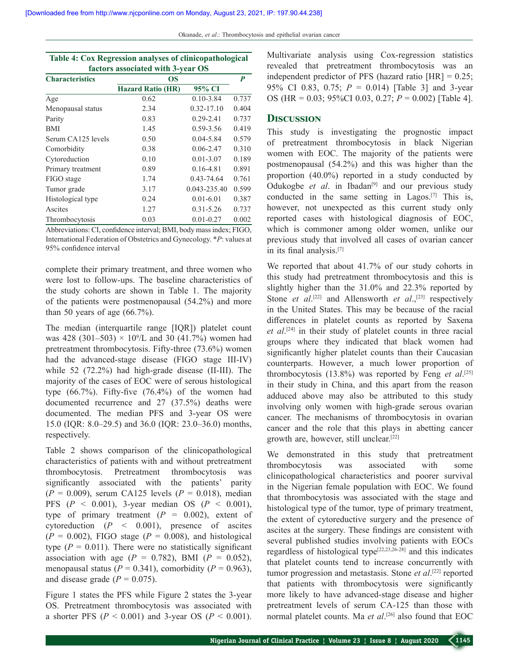| Okunade, et al.: Thrombocytosis and epithelial ovarian cancer |  |  |  |
|---------------------------------------------------------------|--|--|--|
|                                                               |  |  |  |
|                                                               |  |  |  |

| Table 4: Cox Regression analyses of clinicopathological |                                   |  |
|---------------------------------------------------------|-----------------------------------|--|
|                                                         | factors associated with 3-year OS |  |
| Charactoristics                                         | ΛS                                |  |

| <b>Characteristics</b> | <b>OS</b>                |                |       |
|------------------------|--------------------------|----------------|-------|
|                        | <b>Hazard Ratio (HR)</b> | 95% CI         |       |
| Age                    | 0.62                     | $0.10 - 3.84$  | 0.737 |
| Menopausal status      | 2.34                     | $0.32 - 17.10$ | 0.404 |
| Parity                 | 0.83                     | $0.29 - 2.41$  | 0.737 |
| <b>BMI</b>             | 1.45                     | 0.59-3.56      | 0.419 |
| Serum CA125 levels     | 0.50                     | $0.04 - 5.84$  | 0.579 |
| Comorbidity            | 0.38                     | $0.06 - 2.47$  | 0.310 |
| Cytoreduction          | 0.10                     | $0.01 - 3.07$  | 0.189 |
| Primary treatment      | 0.89                     | $0.16 - 4.81$  | 0.891 |
| FIGO stage             | 1.74                     | $0.43 - 74.64$ | 0.761 |
| Tumor grade            | 3.17                     | 0.043-235.40   | 0.599 |
| Histological type      | 0.24                     | $0.01 - 6.01$  | 0.387 |
| Ascites                | 1.27                     | $0.31 - 5.26$  | 0.737 |
| Thrombocytosis         | 0.03                     | $0.01 - 0.27$  | 0.002 |

Abbreviations: CI, confidence interval; BMI, body massindex; FIGO, International Federation of Obstetrics and Gynecology. \**P*: values at 95% confidence interval

complete their primary treatment, and three women who were lost to follow-ups. The baseline characteristics of the study cohorts are shown in Table 1. The majority of the patients were postmenopausal (54.2%) and more than 50 years of age (66.7%).

The median (interquartile range [IQR]) platelet count was 428 (301–503)  $\times$  10<sup>9</sup>/L and 30 (41.7%) women had pretreatment thrombocytosis. Fifty-three  $(73.6\%)$  women had the advanced-stage disease (FIGO stage III-IV) while 52 (72.2%) had high-grade disease (II-III). The majority of the cases of EOC were of serous histological type  $(66.7\%)$ . Fifty-five  $(76.4\%)$  of the women had documented recurrence and 27 (37.5%) deaths were documented. The median PFS and 3‑year OS were 15.0 (IQR: 8.0–29.5) and 36.0 (IQR: 23.0–36.0) months, respectively.

Table 2 shows comparison of the clinicopathological characteristics of patients with and without pretreatment thrombocytosis. Pretreatment thrombocytosis was significantly associated with the patients' parity  $(P = 0.009)$ , serum CA125 levels  $(P = 0.018)$ , median PFS (*P* < 0.001), 3‑year median OS (*P* < 0.001), type of primary treatment  $(P = 0.002)$ , extent of cytoreduction (*P* < 0.001), presence of ascites  $(P = 0.002)$ , FIGO stage  $(P = 0.008)$ , and histological type  $(P = 0.011)$ . There were no statistically significant association with age  $(P = 0.782)$ , BMI  $(P = 0.052)$ , menopausal status ( $P = 0.341$ ), comorbidity ( $P = 0.963$ ), and disease grade  $(P = 0.075)$ .

Figure 1 states the PFS while Figure 2 states the 3-year OS. Pretreatment thrombocytosis was associated with a shorter PFS ( $P < 0.001$ ) and 3-year OS ( $P < 0.001$ ). Multivariate analysis using Cox-regression statistics revealed that pretreatment thrombocytosis was an independent predictor of PFS (hazard ratio  $[HR] = 0.25$ ; 95% CI 0.83, 0.75;  $P = 0.014$ ) [Table 3] and 3-year OS (HR = 0.03; 95%CI 0.03, 0.27; *P* = 0.002) [Table 4].

#### **Discussion**

This study is investigating the prognostic impact of pretreatment thrombocytosis in black Nigerian women with EOC. The majority of the patients were postmenopausal (54.2%) and this was higher than the proportion (40.0%) reported in a study conducted by Odukogbe *et al.* in Ibadan<sup>[9]</sup> and our previous study conducted in the same setting in Lagos.[7] This is, however, not unexpected as this current study only reported cases with histological diagnosis of EOC, which is commoner among older women, unlike our previous study that involved all cases of ovarian cancer in its final analysis.[7]

We reported that about 41.7% of our study cohorts in this study had pretreatment thrombocytosis and this is slightly higher than the 31.0% and 22.3% reported by Stone *et al*.<sup>[22]</sup> and Allensworth *et al.*,<sup>[23]</sup> respectively in the United States. This may be because of the racial differences in platelet counts as reported by Saxena *et al*. [24] in their study of platelet counts in three racial groups where they indicated that black women had significantly higher platelet counts than their Caucasian counterparts. However, a much lower proportion of thrombocytosis (13.8%) was reported by Feng *et al*. [25] in their study in China, and this apart from the reason adduced above may also be attributed to this study involving only women with high-grade serous ovarian cancer. The mechanisms of thrombocytosis in ovarian cancer and the role that this plays in abetting cancer growth are, however, still unclear.[22]

We demonstrated in this study that pretreatment thrombocytosis was associated with some clinicopathological characteristics and poorer survival in the Nigerian female population with EOC. We found that thrombocytosis was associated with the stage and histological type of the tumor, type of primary treatment, the extent of cytoreductive surgery and the presence of ascites at the surgery. These findings are consistent with several published studies involving patients with EOCs regardless of histological type[22,23,26‑28] and this indicates that platelet counts tend to increase concurrently with tumor progression and metastasis. Stone *et al*. [22] reported that patients with thrombocytosis were significantly more likely to have advanced-stage disease and higher pretreatment levels of serum CA-125 than those with normal platelet counts. Ma *et al*. [26] also found that EOC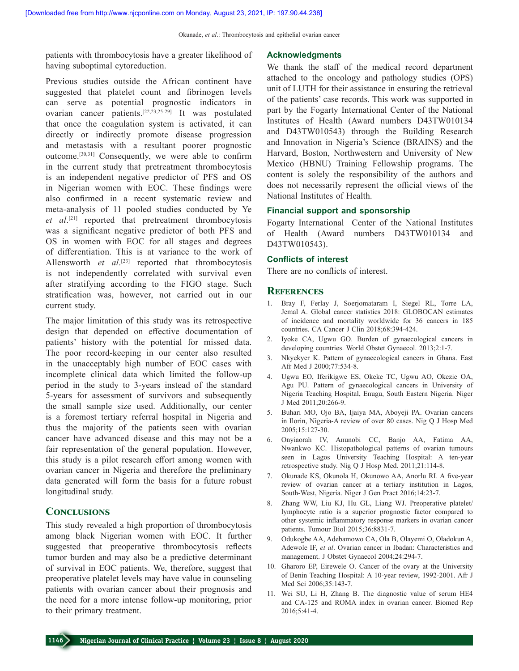patients with thrombocytosis have a greater likelihood of having suboptimal cytoreduction.

Previous studies outside the African continent have suggested that platelet count and fibrinogen levels can serve as potential prognostic indicators in ovarian cancer patients.[22,23,25‑29] It was postulated that once the coagulation system is activated, it can directly or indirectly promote disease progression and metastasis with a resultant poorer prognostic outcome.[30,31] Consequently, we were able to confirm in the current study that pretreatment thrombocytosis is an independent negative predictor of PFS and OS in Nigerian women with EOC. These findings were also confirmed in a recent systematic review and meta‑analysis of 11 pooled studies conducted by Ye *et al*. [21] reported that pretreatment thrombocytosis was a significant negative predictor of both PFS and OS in women with EOC for all stages and degrees of differentiation. This is at variance to the work of Allensworth *et al*. [23] reported that thrombocytosis is not independently correlated with survival even after stratifying according to the FIGO stage. Such stratification was, however, not carried out in our current study.

The major limitation of this study was its retrospective design that depended on effective documentation of patients' history with the potential for missed data. The poor record-keeping in our center also resulted in the unacceptably high number of EOC cases with incomplete clinical data which limited the follow-up period in the study to 3‑years instead of the standard 5‑years for assessment of survivors and subsequently the small sample size used. Additionally, our center is a foremost tertiary referral hospital in Nigeria and thus the majority of the patients seen with ovarian cancer have advanced disease and this may not be a fair representation of the general population. However, this study is a pilot research effort among women with ovarian cancer in Nigeria and therefore the preliminary data generated will form the basis for a future robust longitudinal study.

#### **Conclusions**

This study revealed a high proportion of thrombocytosis among black Nigerian women with EOC. It further suggested that preoperative thrombocytosis reflects tumor burden and may also be a predictive determinant of survival in EOC patients. We, therefore, suggest that preoperative platelet levels may have value in counseling patients with ovarian cancer about their prognosis and the need for a more intense follow‑up monitoring, prior to their primary treatment.

#### **Acknowledgments**

We thank the staff of the medical record department attached to the oncology and pathology studies (OPS) unit of LUTH for their assistance in ensuring the retrieval of the patients' case records. This work was supported in part by the Fogarty International Center of the National Institutes of Health (Award numbers D43TW010134 and D43TW010543) through the Building Research and Innovation in Nigeria's Science (BRAINS) and the Harvard, Boston, Northwestern and University of New Mexico (HBNU) Training Fellowship programs. The content is solely the responsibility of the authors and does not necessarily represent the official views of the National Institutes of Health.

#### **Financial support and sponsorship**

Fogarty International Center of the National Institutes of Health (Award numbers D43TW010134 and D43TW010543).

#### **Conflicts of interest**

There are no conflicts of interest.

#### **References**

- 1. Bray F, Ferlay J, Soerjomataram I, Siegel RL, Torre LA, Jemal A. Global cancer statistics 2018: GLOBOCAN estimates of incidence and mortality worldwide for 36 cancers in 185 countries. CA Cancer J Clin 2018;68:394‑424.
- 2. Iyoke CA, Ugwu GO. Burden of gynaecological cancers in developing countries. World Obstet Gynaecol. 2013;2:1‑7.
- 3. Nkyekyer K. Pattern of gynaecological cancers in Ghana. East Afr Med J 2000;77:534‑8.
- 4. Ugwu EO, Iferikigwe ES, Okeke TC, Ugwu AO, Okezie OA, Agu PU. Pattern of gynaecological cancers in University of Nigeria Teaching Hospital, Enugu, South Eastern Nigeria. Niger J Med 2011;20:266‑9.
- 5. Buhari MO, Ojo BA, Ijaiya MA, Aboyeji PA. Ovarian cancers in Ilorin, Nigeria‑A review of over 80 cases. Nig Q J Hosp Med 2005;15:127‑30.
- 6. Onyiaorah IV, Anunobi CC, Banjo AA, Fatima AA, Nwankwo KC. Histopathological patterns of ovarian tumours seen in Lagos University Teaching Hospital: A ten-year retrospective study. Nig Q J Hosp Med. 2011;21:114‑8.
- 7. Okunade KS, Okunola H, Okunowo AA, Anorlu RI. A five-year review of ovarian cancer at a tertiary institution in Lagos, South-West, Nigeria. Niger J Gen Pract 2016;14:23-7.
- 8. Zhang WW, Liu KJ, Hu GL, Liang WJ. Preoperative platelet/ lymphocyte ratio is a superior prognostic factor compared to other systemic inflammatory response markers in ovarian cancer patients. Tumour Biol 2015;36:8831‑7.
- 9. Odukogbe AA, Adebamowo CA, Ola B, Olayemi O, Oladokun A, Adewole IF, *et al*. Ovarian cancer in Ibadan: Characteristics and management. J Obstet Gynaecol 2004;24:294‑7.
- 10. Gharoro EP, Eirewele O. Cancer of the ovary at the University of Benin Teaching Hospital: A 10‑year review, 1992‑2001. Afr J Med Sci 2006;35:143‑7.
- 11. Wei SU, Li H, Zhang B. The diagnostic value of serum HE4 and CA‑125 and ROMA index in ovarian cancer. Biomed Rep 2016;5:41‑4.